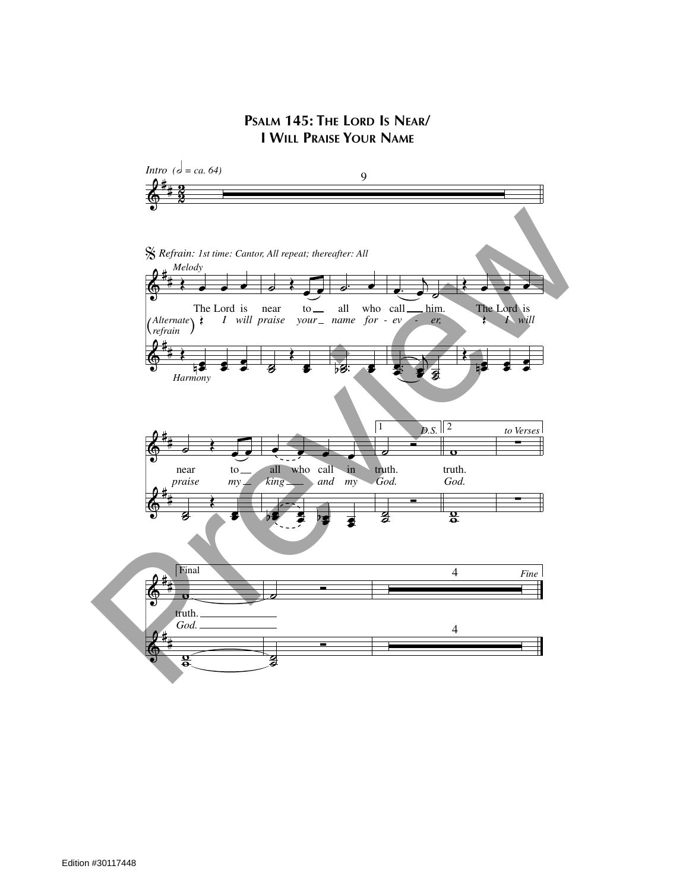## **PSALM 145: THE LORD IS NEAR/ I WILL PRAISE YOUR NAME**